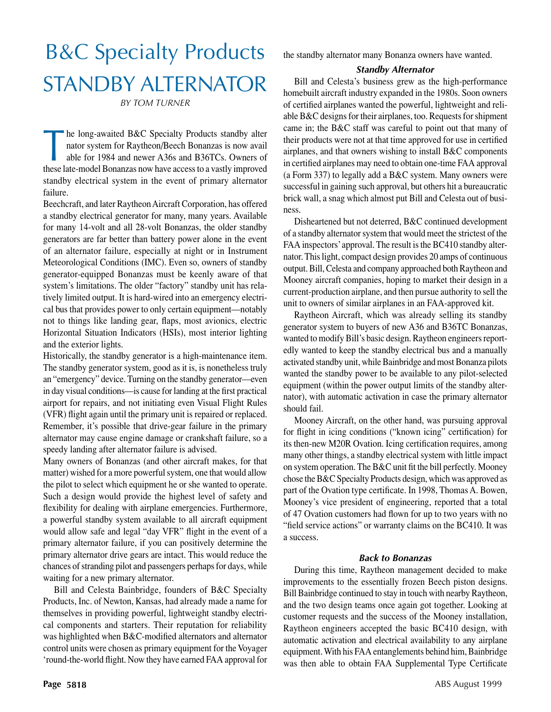# B&C Specialty Products STANDBY ALTERNATOR

*By Tom Turner*

The long-awaited B&C Specialty Products standby alternator system for Raytheon/Beech Bonanzas is now avail<br>able for 1984 and newer A36s and B36TCs. Owners of nator system for Raytheon/Beech Bonanzas is now avail able for 1984 and newer A36s and B36TCs. Owners of these late-model Bonanzas now have access to a vastly improved standby electrical system in the event of primary alternator failure.

Beechcraft, and later Raytheon Aircraft Corporation, has offered a standby electrical generator for many, many years. Available for many 14-volt and all 28-volt Bonanzas, the older standby generators are far better than battery power alone in the event of an alternator failure, especially at night or in Instrument Meteorological Conditions (IMC). Even so, owners of standby generator-equipped Bonanzas must be keenly aware of that system's limitations. The older "factory" standby unit has relatively limited output. It is hard-wired into an emergency electrical bus that provides power to only certain equipment—notably not to things like landing gear, flaps, most avionics, electric Horizontal Situation Indicators (HSIs), most interior lighting and the exterior lights.

Historically, the standby generator is a high-maintenance item. The standby generator system, good as it is, is nonetheless truly an "emergency" device. Turning on the standby generator—even in day visual conditions—is cause for landing at the first practical airport for repairs, and not initiating even Visual Flight Rules (VFR) flight again until the primary unit is repaired or replaced. Remember, it's possible that drive-gear failure in the primary alternator may cause engine damage or crankshaft failure, so a speedy landing after alternator failure is advised.

Many owners of Bonanzas (and other aircraft makes, for that matter) wished for a more powerful system, one that would allow the pilot to select which equipment he or she wanted to operate. Such a design would provide the highest level of safety and flexibility for dealing with airplane emergencies. Furthermore, a powerful standby system available to all aircraft equipment would allow safe and legal "day VFR" flight in the event of a primary alternator failure, if you can positively determine the primary alternator drive gears are intact. This would reduce the chances of stranding pilot and passengers perhaps for days, while waiting for a new primary alternator.

Bill and Celesta Bainbridge, founders of B&C Specialty Products, Inc. of Newton, Kansas, had already made a name for themselves in providing powerful, lightweight standby electrical components and starters. Their reputation for reliability was highlighted when B&C-modified alternators and alternator control units were chosen as primary equipment for the Voyager 'round-the-world flight. Now they have earned FAA approval for the standby alternator many Bonanza owners have wanted.

# *Standby Alternator*

Bill and Celesta's business grew as the high-performance homebuilt aircraft industry expanded in the 1980s. Soon owners of certified airplanes wanted the powerful, lightweight and reliable B&C designs for their airplanes, too. Requests for shipment came in; the B&C staff was careful to point out that many of their products were not at that time approved for use in certified airplanes, and that owners wishing to install B&C components in certified airplanes may need to obtain one-time FAA approval (a Form 337) to legally add a B&C system. Many owners were successful in gaining such approval, but others hit a bureaucratic brick wall, a snag which almost put Bill and Celesta out of business.

Disheartened but not deterred, B&C continued development of a standby alternator system that would meet the strictest of the FAA inspectors' approval. The result is the BC410 standby alternator. This light, compact design provides 20 amps of continuous output. Bill, Celesta and company approached both Raytheon and Mooney aircraft companies, hoping to market their design in a current-production airplane, and then pursue authority to sell the unit to owners of similar airplanes in an FAA-approved kit.

Raytheon Aircraft, which was already selling its standby generator system to buyers of new A36 and B36TC Bonanzas, wanted to modify Bill's basic design. Raytheon engineers reportedly wanted to keep the standby electrical bus and a manually activated standby unit, while Bainbridge and most Bonanza pilots wanted the standby power to be available to any pilot-selected equipment (within the power output limits of the standby alternator), with automatic activation in case the primary alternator should fail.

Mooney Aircraft, on the other hand, was pursuing approval for flight in icing conditions ("known icing" certification) for its then-new M20R Ovation. Icing certification requires, among many other things, a standby electrical system with little impact on system operation. The B&C unit fit the bill perfectly. Mooney chose the B&C Specialty Products design, which was approved as part of the Ovation type certificate. In 1998, Thomas A. Bowen, Mooney's vice president of engineering, reported that a total of 47 Ovation customers had flown for up to two years with no "field service actions" or warranty claims on the BC410. It was a success.

# *Back to Bonanzas*

During this time, Raytheon management decided to make improvements to the essentially frozen Beech piston designs. Bill Bainbridge continued to stay in touch with nearby Raytheon, and the two design teams once again got together. Looking at customer requests and the success of the Mooney installation, Raytheon engineers accepted the basic BC410 design, with automatic activation and electrical availability to any airplane equipment. With his FAA entanglements behind him, Bainbridge was then able to obtain FAA Supplemental Type Certificate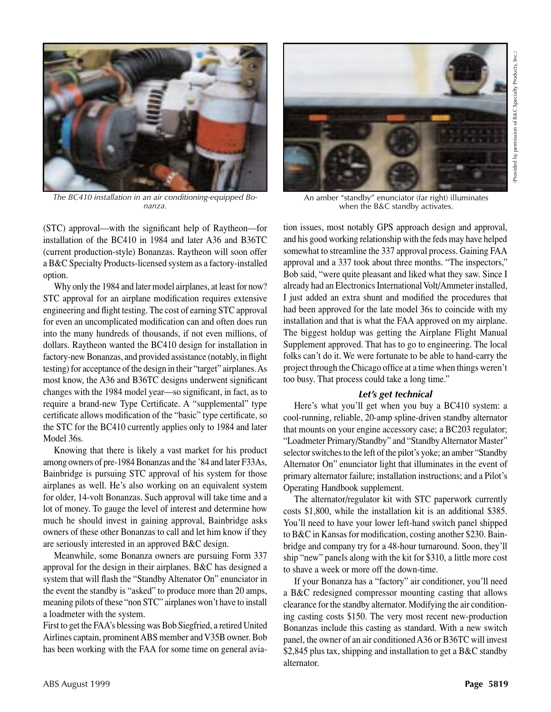

*The BC410 installation in an air conditioning-equipped Bonanza.*

(STC) approval—with the significant help of Raytheon—for installation of the BC410 in 1984 and later A36 and B36TC (current production-style) Bonanzas. Raytheon will soon offer a B&C Specialty Products-licensed system as a factory-installed option.

Why only the 1984 and later model airplanes, at least for now? STC approval for an airplane modification requires extensive engineering and flight testing. The cost of earning STC approval for even an uncomplicated modification can and often does run into the many hundreds of thousands, if not even millions, of dollars. Raytheon wanted the BC410 design for installation in factory-new Bonanzas, and provided assistance (notably, in flight testing) for acceptance of the design in their "target" airplanes. As most know, the A36 and B36TC designs underwent significant changes with the 1984 model year—so significant, in fact, as to require a brand-new Type Certificate. A "supplemental" type certificate allows modification of the "basic" type certificate, so the STC for the BC410 currently applies only to 1984 and later Model 36s.

Knowing that there is likely a vast market for his product among owners of pre-1984 Bonanzas and the '84 and later F33As, Bainbridge is pursuing STC approval of his system for those airplanes as well. He's also working on an equivalent system for older, 14-volt Bonanzas. Such approval will take time and a lot of money. To gauge the level of interest and determine how much he should invest in gaining approval, Bainbridge asks owners of these other Bonanzas to call and let him know if they are seriously interested in an approved B&C design.

Meanwhile, some Bonanza owners are pursuing Form 337 approval for the design in their airplanes. B&C has designed a system that will flash the "Standby Altenator On" enunciator in the event the standby is "asked" to produce more than 20 amps, meaning pilots of these "non STC" airplanes won't have to install a loadmeter with the system.

First to get the FAA's blessing was Bob Siegfried, a retired United Airlines captain, prominent ABS member and V35B owner. Bob has been working with the FAA for some time on general avia-



An amber "standby" enunciator (far right) illuminates when the B&C standby activates.

tion issues, most notably GPS approach design and approval, and his good working relationship with the feds may have helped somewhat to streamline the 337 approval process. Gaining FAA approval and a 337 took about three months. "The inspectors," Bob said, "were quite pleasant and liked what they saw. Since I already had an Electronics International Volt/Ammeter installed, I just added an extra shunt and modified the procedures that had been approved for the late model 36s to coincide with my installation and that is what the FAA approved on my airplane. The biggest holdup was getting the Airplane Flight Manual Supplement approved. That has to go to engineering. The local folks can't do it. We were fortunate to be able to hand-carry the project through the Chicago office at a time when things weren't too busy. That process could take a long time."

#### *Let's get technical*

Here's what you'll get when you buy a BC410 system: a cool-running, reliable, 20-amp spline-driven standby alternator that mounts on your engine accessory case; a BC203 regulator; "Loadmeter Primary/Standby" and "Standby Alternator Master" selector switches to the left of the pilot's yoke; an amber "Standby Alternator On" enunciator light that illuminates in the event of primary alternator failure; installation instructions; and a Pilot's Operating Handbook supplement.

The alternator/regulator kit with STC paperwork currently costs \$1,800, while the installation kit is an additional \$385. You'll need to have your lower left-hand switch panel shipped to B&C in Kansas for modification, costing another \$230. Bainbridge and company try for a 48-hour turnaround. Soon, they'll ship "new" panels along with the kit for \$310, a little more cost to shave a week or more off the down-time.

If your Bonanza has a "factory" air conditioner, you'll need a B&C redesigned compressor mounting casting that allows clearance for the standby alternator. Modifying the air conditioning casting costs \$150. The very most recent new-production Bonanzas include this casting as standard. With a new switch panel, the owner of an air conditioned A36 or B36TC will invest \$2,845 plus tax, shipping and installation to get a B&C standby alternator.